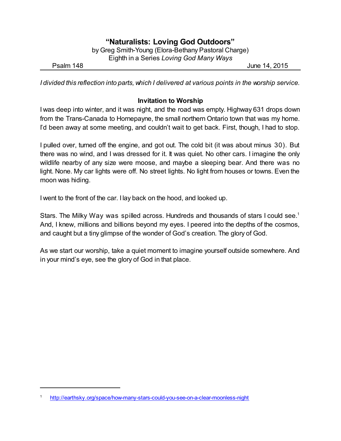# **"Naturalists: Loving God Outdoors"**

by Greg Smith-Young (Elora-Bethany Pastoral Charge) Eighth in a Series *Loving God Many Ways*

Psalm 148 **June 14, 2015** 

*I divided this reflection into parts, which I delivered at various points in the worship service.*

# **Invitation to Worship**

I was deep into winter, and it was night, and the road was empty. Highway 631 drops down from the Trans-Canada to Hornepayne, the small northern Ontario town that was my home. I'd been away at some meeting, and couldn't wait to get back. First, though, I had to stop.

I pulled over, turned off the engine, and got out. The cold bit (it was about minus 30). But there was no wind, and I was dressed for it. It was quiet. No other cars. I imagine the only wildlife nearby of any size were moose, and maybe a sleeping bear. And there was no light. None. My car lights were off. No street lights. No light from houses or towns. Even the moon was hiding.

I went to the front of the car. I lay back on the hood, and looked up.

Stars. The Milky Way was spilled across. Hundreds and thousands of stars I could see.<sup>1</sup> And, I knew, millions and billions beyond my eyes. I peered into the depths of the cosmos, and caught but a tiny glimpse of the wonder of God's creation. The glory of God.

As we start our worship, take a quiet moment to imagine yourself outside somewhere. And in your mind's eye, see the glory of God in that place.

<sup>1</sup> <http://earthsky.org/space/how-many-stars-could-you-see-on-a-clear-moonless-night>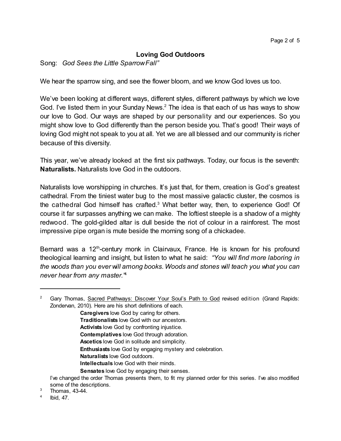# **Loving God Outdoors**

Song: *God Sees the Little SparrowFall"*

We hear the sparrow sing, and see the flower bloom, and we know God loves us too.

We've been looking at different ways, different styles, different pathways by which we love God. I've listed them in your Sunday News.<sup>2</sup> The idea is that each of us has ways to show our love to God. Our ways are shaped by our personality and our experiences. So you might show love to God differently than the person beside you. That's good! Their ways of loving God might not speak to you at all. Yet we are all blessed and our community is richer because of this diversity.

This year, we've already looked at the first six pathways. Today, our focus is the seventh: **Naturalists.** Naturalists love God in the outdoors.

Naturalists love worshipping in churches. It's just that, for them, creation is God's greatest cathedral. From the tiniest water bug to the most massive galactic cluster, the cosmos is the cathedral God himself has crafted.<sup>3</sup> What better way, then, to experience God! Of course it far surpasses anything we can make. The loftiest steeple is a shadow of a mighty redwood. The gold-gilded altar is dull beside the riot of colour in a rainforest. The most impressive pipe organ is mute beside the morning song of a chickadee.

Bernard was a 12<sup>th</sup>-century monk in Clairvaux, France. He is known for his profound theological learning and insight, but listen to what he said: *"You will find more laboring in the woods than you ever will among books. Woods and stones will teach you what you can never hear from any master."* 4

**Caregivers** love God by caring for others.

- **Traditionalists** love God with our ancestors.
- **Activists** love God by confronting injustice.
- **Contemplatives** love God through adoration.
- **Ascetics** love God in solitude and simplicity.

**Enthusiasts** love God by engaging mystery and celebration.

- **Naturalists** love God outdoors.
- **Intellectuals** love God with their minds.
- **Sensates** love God by engaging their senses.

- <sup>3</sup> Thomas, 43-44.
- 4 Ibid, 47.

<sup>&</sup>lt;sup>2</sup> Gary Thomas, Sacred Pathways: Discover Your Soul's Path to God revised edition (Grand Rapids: Zondervan, 2010). Here are his short definitions of each.

I've changed the order Thomas presents them, to fit my planned order for this series. I've also modified some of the descriptions.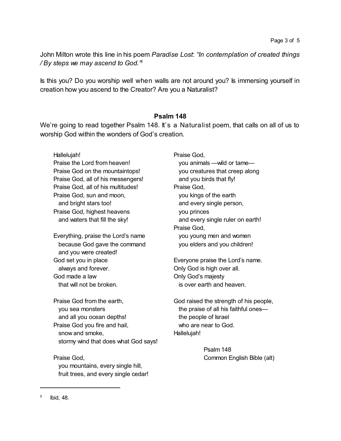John Milton wrote this line in his poem *Paradise Lost*: *"In contemplation of created things / By steps we may ascend to God." 5*

Is this you? Do you worship well when walls are not around you? Is immersing yourself in creation how you ascend to the Creator? Are you a Naturalist?

#### **Psalm 148**

We're going to read together Psalm 148. It's a Naturalist poem, that calls on all of us to worship God within the wonders of God's creation.

Hallelujah! Praise the Lord from heaven! Praise God on the mountaintops! Praise God, all of his messengers! Praise God, all of his multitudes! Praise God, sun and moon, and bright stars too! Praise God, highest heavens and waters that fill the sky! Everything, praise the Lord's name because God gave the command and you were created! God set you in place always and forever. God made a law that will not be broken. Praise God from the earth, you sea monsters and all you ocean depths! Praise God you fire and hail, snow and smoke, stormy wind that does what God says! Praise God, you mountains, every single hill, fruit trees, and every single cedar! Praise God, you animals —wild or tame you creatures that creep along and you birds that fly! Praise God, you kings of the earth and every single person, you princes and every single ruler on earth! Praise God, you young men and women you elders and you children! Everyone praise the Lord's name. Only God is high over all. Only God's majesty is over earth and heaven. God raised the strength of his people, the praise of all his faithful ones the people of Israel who are near to God. Hallelujah! Psalm 148 Common English Bible (alt)

<sup>5</sup> Ibid, 48.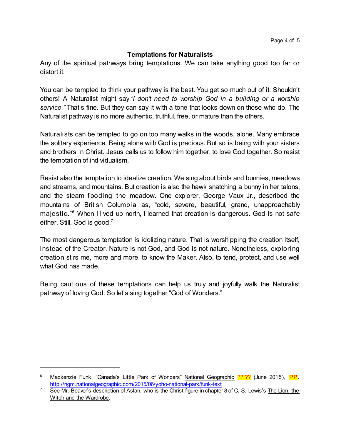## **Temptations for Naturalists**

Any of the spiritual pathways bring temptations. We can take anything good too far or distort it.

You can be tempted to think your pathway is the best. You get so much out of it. Shouldn't others! A Naturalist might say,*"I don't need to worship God in a building or a worship service."* That's fine. But they can say it with a tone that looks down on those who do. The Naturalist pathway is no more authentic, truthful, free, or mature than the others.

Naturalists can be tempted to go on too many walks in the woods, alone. Many embrace the solitary experience. Being alone with God is precious. But so is being with your sisters and brothers in Christ. Jesus calls us to follow him together, to love God together. So resist the temptation of individualism.

Resist also the temptation to idealize creation. We sing about birds and bunnies, meadows and streams, and mountains. But creation is also the hawk snatching a bunny in her talons, and the steam flooding the meadow. One explorer, George Vaux Jr., described the mountains of British Columbia as, "cold, severe, beautiful, grand, unapproachably majestic."<sup>6</sup> When I lived up north, I learned that creation is dangerous. God is not safe either. Still, God is good.<sup>7</sup>

The most dangerous temptation is idolizing nature. That is worshipping the creation itself, instead of the Creator. Nature is not God, and God is not nature. Nonetheless, exploring creation stirs me, more and more, to know the Maker. Also, to tend, protect, and use well what God has made.

Being cautious of these temptations can help us truly and joyfully walk the Naturalist pathway of loving God. So let's sing together "God of Wonders."

Mackenzie Funk, "Canada's Little Park of Wonders" National Geographic ??.?? (June 2015), PP. <http://ngm.nationalgeographic.com/2015/06/yoho-national-park/funk-text>

<sup>&</sup>lt;sup>7</sup> See Mr. Beaver's description of Aslan, who is the Christ-figure in chapter 8 of C. S. Lewis's The Lion, the Witch and the Wardrobe.